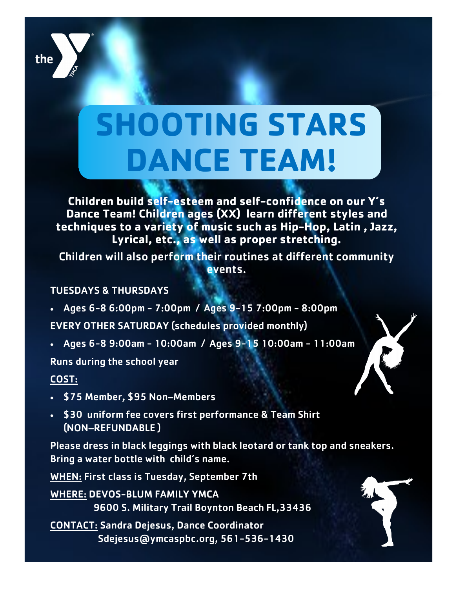## **SHOOTING STARS DANCE TEAM!**

**Children build self-esteem and self-confidence on our Y's Dance Team! Children ages (XX) learn different styles and techniques to a variety of music such as Hip-Hop, Latin , Jazz, Lyrical, etc., as well as proper stretching.** 

Children will also perform their routines at different community events.

## TUESDAYS & THURSDAYS

- Ages 6-8 6:00pm 7:00pm / Ages 9-15 7:00pm 8:00pm EVERY OTHER SATURDAY (schedules provided monthly)
- Ages 6-8 9:00am 10:00am / Ages 9-15 10:00am 11:00am

Runs during the school year

## COST:

- \$75 Member, \$95 Non–Members
- . \$30 uniform fee covers first performance & Team Shirt (NON–REFUNDABLE )

Please dress in black leggings with black leotard or tank top and sneakers. Bring a water bottle with child's name.

WHEN: First class is Tuesday, September 7th

WHERE: DEVOS-BLUM FAMILY YMCA 9600 S. Military Trail Boynton Beach FL,33436

CONTACT: Sandra Dejesus, Dance Coordinator Sdejesus@ymcaspbc.org, 561-536-1430